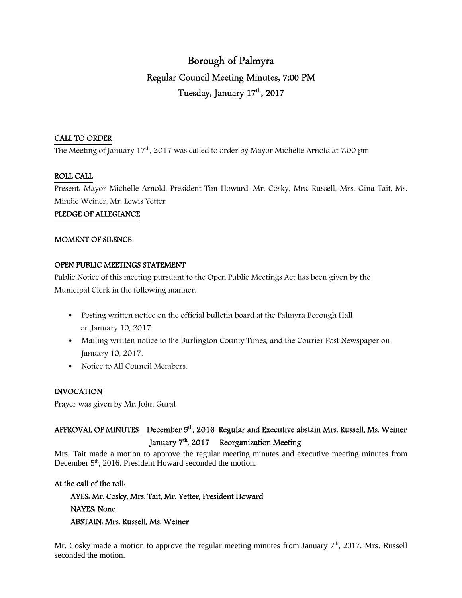# Borough of Palmyra Regular Council Meeting Minutes, 7:00 PM Tuesday, January 17<sup>th</sup>, 2017

#### CALL TO ORDER

The Meeting of January 17<sup>th</sup>, 2017 was called to order by Mayor Michelle Arnold at 7:00 pm

#### ROLL CALL

Present: Mayor Michelle Arnold, President Tim Howard, Mr. Cosky, Mrs. Russell, Mrs. Gina Tait, Ms. Mindie Weiner, Mr. Lewis Yetter

#### PLEDGE OF ALLEGIANCE

#### MOMENT OF SILENCE

#### OPEN PUBLIC MEETINGS STATEMENT

Public Notice of this meeting pursuant to the Open Public Meetings Act has been given by the Municipal Clerk in the following manner:

- Posting written notice on the official bulletin board at the Palmyra Borough Hall on January 10, 2017.
- Mailing written notice to the Burlington County Times, and the Courier Post Newspaper on January 10, 2017.
- Notice to All Council Members.

#### INVOCATION

Prayer was given by Mr. John Gural

# APPROVAL OF MINUTES December 5<sup>th</sup>, 2016 Regular and Executive abstain Mrs. Russell, Ms. Weiner January 7<sup>th</sup>, 2017 Reorganization Meeting

Mrs. Tait made a motion to approve the regular meeting minutes and executive meeting minutes from December 5<sup>th</sup>, 2016. President Howard seconded the motion.

#### At the call of the roll:

 AYES: Mr. Cosky, Mrs. Tait, Mr. Yetter, President Howard NAYES: None ABSTAIN: Mrs. Russell, Ms. Weiner

Mr. Cosky made a motion to approve the regular meeting minutes from January  $7<sup>th</sup>$ , 2017. Mrs. Russell seconded the motion.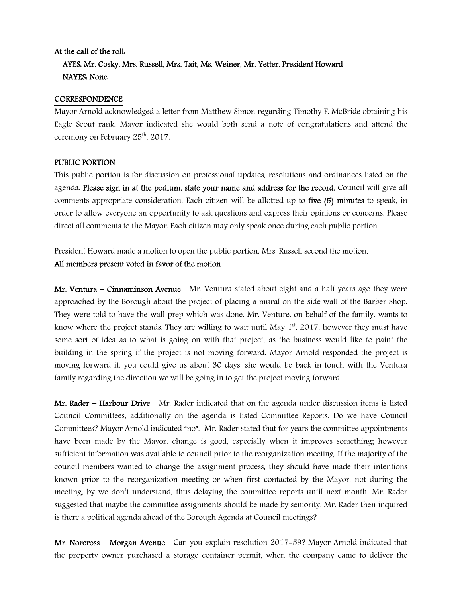# At the call of the roll: AYES: Mr. Cosky, Mrs. Russell, Mrs. Tait, Ms. Weiner, Mr. Yetter, President Howard NAYES: None

#### **CORRESPONDENCE**

Mayor Arnold acknowledged a letter from Matthew Simon regarding Timothy F. McBride obtaining his Eagle Scout rank. Mayor indicated she would both send a note of congratulations and attend the ceremony on February 25<sup>th</sup>, 2017.

#### PUBLIC PORTION

This public portion is for discussion on professional updates, resolutions and ordinances listed on the agenda. Please sign in at the podium, state your name and address for the record. Council will give all comments appropriate consideration. Each citizen will be allotted up to five (5) minutes to speak, in order to allow everyone an opportunity to ask questions and express their opinions or concerns. Please direct all comments to the Mayor. Each citizen may only speak once during each public portion.

President Howard made a motion to open the public portion, Mrs. Russell second the motion.

#### All members present voted in favor of the motion

Mr. Ventura – Cinnaminson Avenue Mr. Ventura stated about eight and a half years ago they were approached by the Borough about the project of placing a mural on the side wall of the Barber Shop. They were told to have the wall prep which was done. Mr. Venture, on behalf of the family, wants to know where the project stands. They are willing to wait until May  $1<sup>st</sup>$ , 2017, however they must have some sort of idea as to what is going on with that project, as the business would like to paint the building in the spring if the project is not moving forward. Mayor Arnold responded the project is moving forward if, you could give us about 30 days, she would be back in touch with the Ventura family regarding the direction we will be going in to get the project moving forward.

Mr. Rader – Harbour Drive Mr. Rader indicated that on the agenda under discussion items is listed Council Committees, additionally on the agenda is listed Committee Reports. Do we have Council Committees? Mayor Arnold indicated "no". Mr. Rader stated that for years the committee appointments have been made by the Mayor, change is good, especially when it improves something; however sufficient information was available to council prior to the reorganization meeting. If the majority of the council members wanted to change the assignment process, they should have made their intentions known prior to the reorganization meeting or when first contacted by the Mayor, not during the meeting, by we don't understand, thus delaying the committee reports until next month. Mr. Rader suggested that maybe the committee assignments should be made by seniority. Mr. Rader then inquired is there a political agenda ahead of the Borough Agenda at Council meetings?

Mr. Norcross – Morgan Avenue Can you explain resolution 2017-59? Mayor Arnold indicated that the property owner purchased a storage container permit, when the company came to deliver the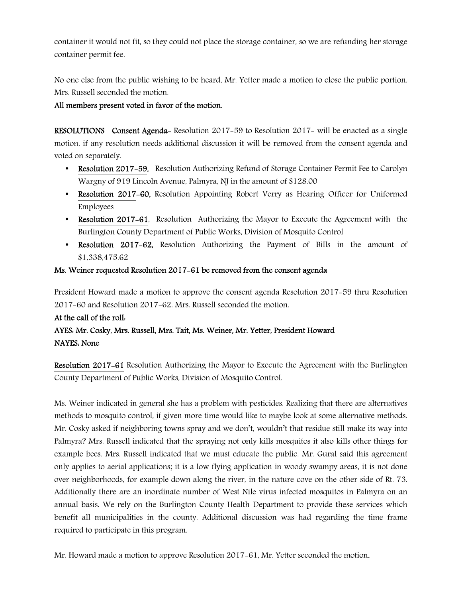container it would not fit, so they could not place the storage container, so we are refunding her storage container permit fee.

No one else from the public wishing to be heard, Mr. Yetter made a motion to close the public portion. Mrs. Russell seconded the motion.

### All members present voted in favor of the motion.

RESOLUTIONS Consent Agenda- Resolution 2017-59 to Resolution 2017- will be enacted as a single motion, if any resolution needs additional discussion it will be removed from the consent agenda and voted on separately.

- Resolution 2017-59, Resolution Authorizing Refund of Storage Container Permit Fee to Carolyn Wargny of 919 Lincoln Avenue, Palmyra, NJ in the amount of \$128.00
- Resolution 2017-60, Resolution Appointing Robert Verry as Hearing Officer for Uniformed Employees
- Resolution 2017–61, Resolution Authorizing the Mayor to Execute the Agreement with the Burlington County Department of Public Works, Division of Mosquito Control
- Resolution 2017-62, Resolution Authorizing the Payment of Bills in the amount of \$1,338,475.62

### Ms. Weiner requested Resolution 2017-61 be removed from the consent agenda

President Howard made a motion to approve the consent agenda Resolution 2017-59 thru Resolution 2017-60 and Resolution 2017-62. Mrs. Russell seconded the motion.

# At the call of the roll: AYES: Mr. Cosky, Mrs. Russell, Mrs. Tait, Ms. Weiner, Mr. Yetter, President Howard NAYES: None

Resolution 2017-61 Resolution Authorizing the Mayor to Execute the Agreement with the Burlington County Department of Public Works, Division of Mosquito Control.

Ms. Weiner indicated in general she has a problem with pesticides. Realizing that there are alternatives methods to mosquito control, if given more time would like to maybe look at some alternative methods. Mr. Cosky asked if neighboring towns spray and we don't, wouldn't that residue still make its way into Palmyra? Mrs. Russell indicated that the spraying not only kills mosquitos it also kills other things for example bees. Mrs. Russell indicated that we must educate the public. Mr. Gural said this agreement only applies to aerial applications; it is a low flying application in woody swampy areas, it is not done over neighborhoods, for example down along the river, in the nature cove on the other side of Rt. 73. Additionally there are an inordinate number of West Nile virus infected mosquitos in Palmyra on an annual basis. We rely on the Burlington County Health Department to provide these services which benefit all municipalities in the county. Additional discussion was had regarding the time frame required to participate in this program.

Mr. Howard made a motion to approve Resolution 2017-61, Mr. Yetter seconded the motion.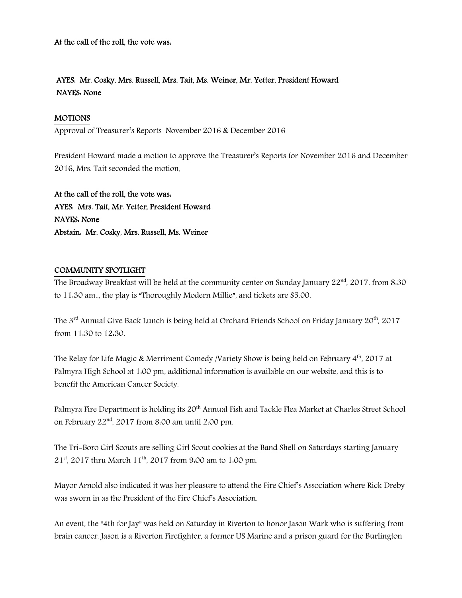At the call of the roll, the vote was:

### AYES: Mr. Cosky, Mrs. Russell, Mrs. Tait, Ms. Weiner, Mr. Yetter, President Howard NAYES: None

#### MOTIONS

Approval of Treasurer's Reports November 2016 & December 2016

President Howard made a motion to approve the Treasurer's Reports for November 2016 and December 2016, Mrs. Tait seconded the motion.

At the call of the roll, the vote was: AYES: Mrs. Tait, Mr. Yetter, President Howard NAYES: None Abstain: Mr. Cosky, Mrs. Russell, Ms. Weiner

#### COMMUNITY SPOTLIGHT

The Broadway Breakfast will be held at the community center on Sunday January  $22<sup>nd</sup>$ , 2017, from 8.30 to 11:30 am.., the play is "Thoroughly Modern Millie", and tickets are \$5.00.

The 3<sup>rd</sup> Annual Give Back Lunch is being held at Orchard Friends School on Friday January 20<sup>th</sup>, 2017 from 11:30 to 12:30.

The Relay for Life Magic & Merriment Comedy /Variety Show is being held on February  $4<sup>th</sup>$ , 2017 at Palmyra High School at 1:00 pm, additional information is available on our website, and this is to benefit the American Cancer Society.

Palmyra Fire Department is holding its 20<sup>th</sup> Annual Fish and Tackle Flea Market at Charles Street School on February  $22<sup>nd</sup>$ , 2017 from 8:00 am until 2:00 pm.

The Tri-Boro Girl Scouts are selling Girl Scout cookies at the Band Shell on Saturdays starting January  $21<sup>st</sup>$ , 2017 thru March 11<sup>th</sup>, 2017 from 9:00 am to 1:00 pm.

Mayor Arnold also indicated it was her pleasure to attend the Fire Chief's Association where Rick Dreby was sworn in as the President of the Fire Chief's Association.

An event, the "4th for Jay" was held on Saturday in Riverton to honor Jason Wark who is suffering from brain cancer. Jason is a Riverton Firefighter, a former US Marine and a prison guard for the Burlington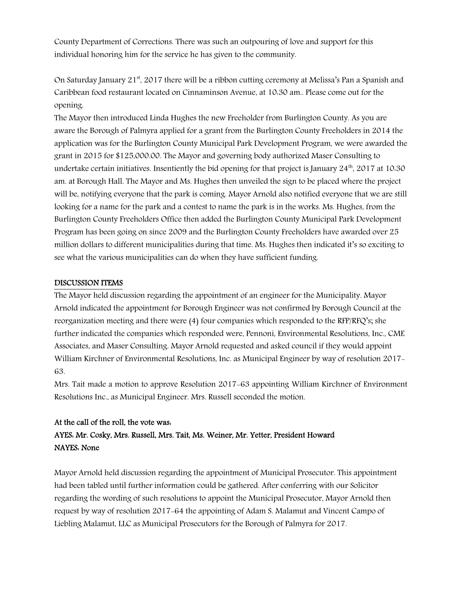County Department of Corrections. There was such an outpouring of love and support for this individual honoring him for the service he has given to the community.

On Saturday January 21<sup>st</sup>, 2017 there will be a ribbon cutting ceremony at Melissa's Pan a Spanish and Caribbean food restaurant located on Cinnaminson Avenue, at 10:30 am.. Please come out for the opening.

The Mayor then introduced Linda Hughes the new Freeholder from Burlington County. As you are aware the Borough of Palmyra applied for a grant from the Burlington County Freeholders in 2014 the application was for the Burlington County Municipal Park Development Program, we were awarded the grant in 2015 for \$125,000.00. The Mayor and governing body authorized Maser Consulting to undertake certain initiatives. Insentiently the bid opening for that project is January  $24<sup>th</sup>$ , 2017 at 10.30 am. at Borough Hall. The Mayor and Ms. Hughes then unveiled the sign to be placed where the project will be, notifying everyone that the park is coming. Mayor Arnold also notified everyone that we are still looking for a name for the park and a contest to name the park is in the works. Ms. Hughes, from the Burlington County Freeholders Office then added the Burlington County Municipal Park Development Program has been going on since 2009 and the Burlington County Freeholders have awarded over 25 million dollars to different municipalities during that time. Ms. Hughes then indicated it's so exciting to see what the various municipalities can do when they have sufficient funding.

#### DISCUSSION ITEMS

The Mayor held discussion regarding the appointment of an engineer for the Municipality. Mayor Arnold indicated the appointment for Borough Engineer was not confirmed by Borough Council at the reorganization meeting and there were (4) four companies which responded to the RFP/RFQ's; she further indicated the companies which responded were, Pennoni, Environmental Resolutions, Inc., CME Associates, and Maser Consulting. Mayor Arnold requested and asked council if they would appoint William Kirchner of Environmental Resolutions, Inc. as Municipal Engineer by way of resolution 2017- 63.

Mrs. Tait made a motion to approve Resolution 2017-63 appointing William Kirchner of Environment Resolutions Inc., as Municipal Engineer. Mrs. Russell seconded the motion.

# At the call of the roll, the vote was: AYES: Mr. Cosky, Mrs. Russell, Mrs. Tait, Ms. Weiner, Mr. Yetter, President Howard NAYES: None

Mayor Arnold held discussion regarding the appointment of Municipal Prosecutor. This appointment had been tabled until further information could be gathered. After conferring with our Solicitor regarding the wording of such resolutions to appoint the Municipal Prosecutor, Mayor Arnold then request by way of resolution 2017-64 the appointing of Adam S. Malamut and Vincent Campo of Liebling Malamut, LLC as Municipal Prosecutors for the Borough of Palmyra for 2017.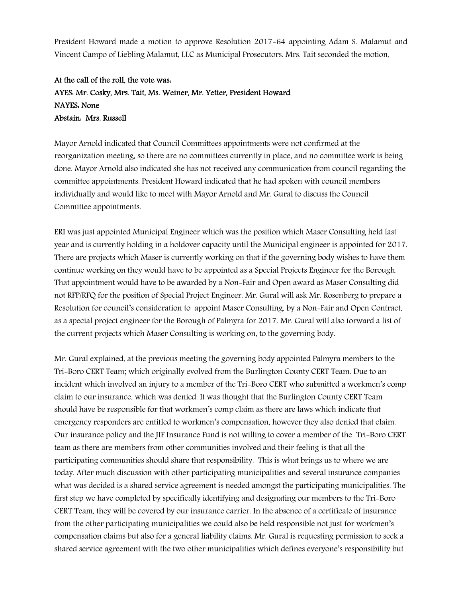President Howard made a motion to approve Resolution 2017-64 appointing Adam S. Malamut and Vincent Campo of Liebling Malamut, LLC as Municipal Prosecutors. Mrs. Tait seconded the motion.

# At the call of the roll, the vote was: AYES: Mr. Cosky, Mrs. Tait, Ms. Weiner, Mr. Yetter, President Howard NAYES: None Abstain: Mrs. Russell

Mayor Arnold indicated that Council Committees appointments were not confirmed at the reorganization meeting, so there are no committees currently in place, and no committee work is being done. Mayor Arnold also indicated she has not received any communication from council regarding the committee appointments. President Howard indicated that he had spoken with council members individually and would like to meet with Mayor Arnold and Mr. Gural to discuss the Council Committee appointments.

ERI was just appointed Municipal Engineer which was the position which Maser Consulting held last year and is currently holding in a holdover capacity until the Municipal engineer is appointed for 2017. There are projects which Maser is currently working on that if the governing body wishes to have them continue working on they would have to be appointed as a Special Projects Engineer for the Borough. That appointment would have to be awarded by a Non-Fair and Open award as Maser Consulting did not RFP/RFQ for the position of Special Project Engineer. Mr. Gural will ask Mr. Rosenberg to prepare a Resolution for council's consideration to appoint Maser Consulting, by a Non-Fair and Open Contract, as a special project engineer for the Borough of Palmyra for 2017. Mr. Gural will also forward a list of the current projects which Maser Consulting is working on, to the governing body.

Mr. Gural explained, at the previous meeting the governing body appointed Palmyra members to the Tri-Boro CERT Team; which originally evolved from the Burlington County CERT Team. Due to an incident which involved an injury to a member of the Tri-Boro CERT who submitted a workmen's comp claim to our insurance, which was denied. It was thought that the Burlington County CERT Team should have be responsible for that workmen's comp claim as there are laws which indicate that emergency responders are entitled to workmen's compensation, however they also denied that claim. Our insurance policy and the JIF Insurance Fund is not willing to cover a member of the Tri-Boro CERT team as there are members from other communities involved and their feeling is that all the participating communities should share that responsibility. This is what brings us to where we are today. After much discussion with other participating municipalities and several insurance companies what was decided is a shared service agreement is needed amongst the participating municipalities. The first step we have completed by specifically identifying and designating our members to the Tri-Boro CERT Team, they will be covered by our insurance carrier. In the absence of a certificate of insurance from the other participating municipalities we could also be held responsible not just for workmen's compensation claims but also for a general liability claims. Mr. Gural is requesting permission to seek a shared service agreement with the two other municipalities which defines everyone's responsibility but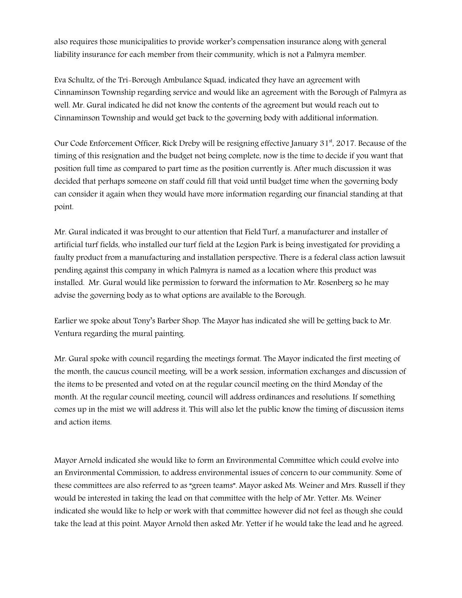also requires those municipalities to provide worker's compensation insurance along with general liability insurance for each member from their community, which is not a Palmyra member.

Eva Schultz, of the Tri-Borough Ambulance Squad, indicated they have an agreement with Cinnaminson Township regarding service and would like an agreement with the Borough of Palmyra as well. Mr. Gural indicated he did not know the contents of the agreement but would reach out to Cinnaminson Township and would get back to the governing body with additional information.

Our Code Enforcement Officer, Rick Dreby will be resigning effective January  $31<sup>st</sup>$ , 2017. Because of the timing of this resignation and the budget not being complete, now is the time to decide if you want that position full time as compared to part time as the position currently is. After much discussion it was decided that perhaps someone on staff could fill that void until budget time when the governing body can consider it again when they would have more information regarding our financial standing at that point.

Mr. Gural indicated it was brought to our attention that Field Turf, a manufacturer and installer of artificial turf fields, who installed our turf field at the Legion Park is being investigated for providing a faulty product from a manufacturing and installation perspective. There is a federal class action lawsuit pending against this company in which Palmyra is named as a location where this product was installed. Mr. Gural would like permission to forward the information to Mr. Rosenberg so he may advise the governing body as to what options are available to the Borough.

Earlier we spoke about Tony's Barber Shop. The Mayor has indicated she will be getting back to Mr. Ventura regarding the mural painting.

Mr. Gural spoke with council regarding the meetings format. The Mayor indicated the first meeting of the month, the caucus council meeting, will be a work session, information exchanges and discussion of the items to be presented and voted on at the regular council meeting on the third Monday of the month. At the regular council meeting, council will address ordinances and resolutions. If something comes up in the mist we will address it. This will also let the public know the timing of discussion items and action items.

Mayor Arnold indicated she would like to form an Environmental Committee which could evolve into an Environmental Commission, to address environmental issues of concern to our community. Some of these committees are also referred to as "green teams". Mayor asked Ms. Weiner and Mrs. Russell if they would be interested in taking the lead on that committee with the help of Mr. Yetter. Ms. Weiner indicated she would like to help or work with that committee however did not feel as though she could take the lead at this point. Mayor Arnold then asked Mr. Yetter if he would take the lead and he agreed.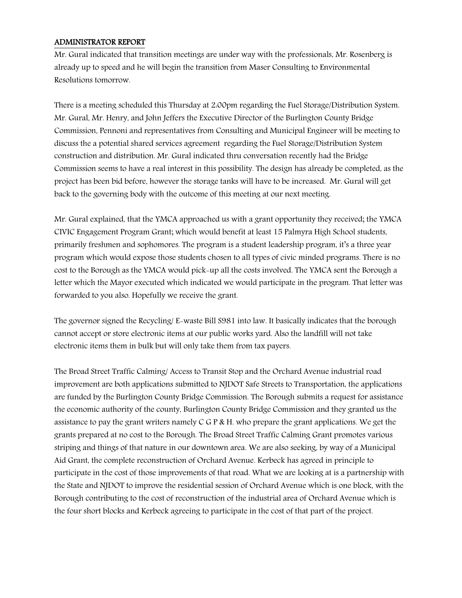#### ADMINISTRATOR REPORT

Mr. Gural indicated that transition meetings are under way with the professionals, Mr. Rosenberg is already up to speed and he will begin the transition from Maser Consulting to Environmental Resolutions tomorrow.

There is a meeting scheduled this Thursday at 2:00pm regarding the Fuel Storage/Distribution System. Mr. Gural, Mr. Henry, and John Jeffers the Executive Director of the Burlington County Bridge Commission, Pennoni and representatives from Consulting and Municipal Engineer will be meeting to discuss the a potential shared services agreement regarding the Fuel Storage/Distribution System construction and distribution. Mr. Gural indicated thru conversation recently had the Bridge Commission seems to have a real interest in this possibility. The design has already be completed, as the project has been bid before, however the storage tanks will have to be increased. Mr. Gural will get back to the governing body with the outcome of this meeting at our next meeting.

Mr. Gural explained, that the YMCA approached us with a grant opportunity they received; the YMCA CIVIC Engagement Program Grant; which would benefit at least 15 Palmyra High School students, primarily freshmen and sophomores. The program is a student leadership program, it's a three year program which would expose those students chosen to all types of civic minded programs. There is no cost to the Borough as the YMCA would pick-up all the costs involved. The YMCA sent the Borough a letter which the Mayor executed which indicated we would participate in the program. That letter was forwarded to you also. Hopefully we receive the grant.

The governor signed the Recycling/ E-waste Bill S981 into law. It basically indicates that the borough cannot accept or store electronic items at our public works yard. Also the landfill will not take electronic items them in bulk but will only take them from tax payers.

The Broad Street Traffic Calming/ Access to Transit Stop and the Orchard Avenue industrial road improvement are both applications submitted to NJDOT Safe Streets to Transportation, the applications are funded by the Burlington County Bridge Commission. The Borough submits a request for assistance the economic authority of the county, Burlington County Bridge Commission and they granted us the assistance to pay the grant writers namely C G P & H. who prepare the grant applications. We get the grants prepared at no cost to the Borough. The Broad Street Traffic Calming Grant promotes various striping and things of that nature in our downtown area. We are also seeking, by way of a Municipal Aid Grant, the complete reconstruction of Orchard Avenue. Kerbeck has agreed in principle to participate in the cost of those improvements of that road. What we are looking at is a partnership with the State and NJDOT to improve the residential session of Orchard Avenue which is one block, with the Borough contributing to the cost of reconstruction of the industrial area of Orchard Avenue which is the four short blocks and Kerbeck agreeing to participate in the cost of that part of the project.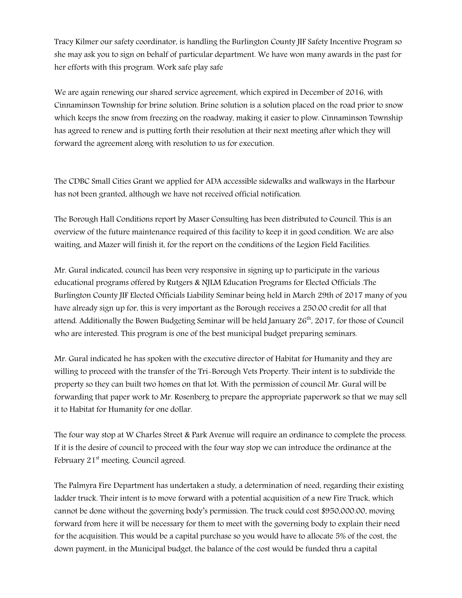Tracy Kilmer our safety coordinator, is handling the Burlington County JIF Safety Incentive Program so she may ask you to sign on behalf of particular department. We have won many awards in the past for her efforts with this program. Work safe play safe

We are again renewing our shared service agreement, which expired in December of 2016, with Cinnaminson Township for brine solution. Brine solution is a solution placed on the road prior to snow which keeps the snow from freezing on the roadway, making it easier to plow. Cinnaminson Township has agreed to renew and is putting forth their resolution at their next meeting after which they will forward the agreement along with resolution to us for execution.

The CDBC Small Cities Grant we applied for ADA accessible sidewalks and walkways in the Harbour has not been granted, although we have not received official notification.

The Borough Hall Conditions report by Maser Consulting has been distributed to Council. This is an overview of the future maintenance required of this facility to keep it in good condition. We are also waiting, and Mazer will finish it, for the report on the conditions of the Legion Field Facilities.

Mr. Gural indicated, council has been very responsive in signing up to participate in the various educational programs offered by Rutgers & NJLM Education Programs for Elected Officials .The Burlington County JIF Elected Officials Liability Seminar being held in March 29th of 2017 many of you have already sign up for, this is very important as the Borough receives a 250.00 credit for all that attend. Additionally the Bowen Budgeting Seminar will be held January  $26<sup>th</sup>$ , 2017, for those of Council who are interested. This program is one of the best municipal budget preparing seminars.

Mr. Gural indicated he has spoken with the executive director of Habitat for Humanity and they are willing to proceed with the transfer of the Tri-Borough Vets Property. Their intent is to subdivide the property so they can built two homes on that lot. With the permission of council Mr. Gural will be forwarding that paper work to Mr. Rosenberg to prepare the appropriate paperwork so that we may sell it to Habitat for Humanity for one dollar.

The four way stop at W Charles Street & Park Avenue will require an ordinance to complete the process. If it is the desire of council to proceed with the four way stop we can introduce the ordinance at the February  $21<sup>st</sup>$  meeting. Council agreed.

The Palmyra Fire Department has undertaken a study, a determination of need, regarding their existing ladder truck. Their intent is to move forward with a potential acquisition of a new Fire Truck, which cannot be done without the governing body's permission. The truck could cost \$950,000.00, moving forward from here it will be necessary for them to meet with the governing body to explain their need for the acquisition. This would be a capital purchase so you would have to allocate 5% of the cost, the down payment, in the Municipal budget, the balance of the cost would be funded thru a capital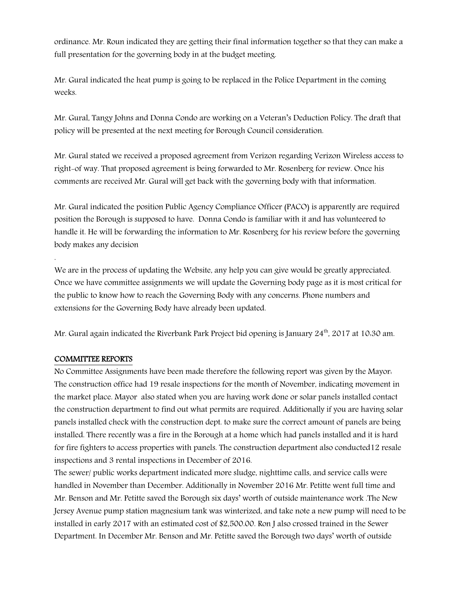ordinance. Mr. Roun indicated they are getting their final information together so that they can make a full presentation for the governing body in at the budget meeting.

Mr. Gural indicated the heat pump is going to be replaced in the Police Department in the coming weeks.

Mr. Gural, Tangy Johns and Donna Condo are working on a Veteran's Deduction Policy. The draft that policy will be presented at the next meeting for Borough Council consideration.

Mr. Gural stated we received a proposed agreement from Verizon regarding Verizon Wireless access to right-of way. That proposed agreement is being forwarded to Mr. Rosenberg for review. Once his comments are received Mr. Gural will get back with the governing body with that information.

Mr. Gural indicated the position Public Agency Compliance Officer (PACO) is apparently are required position the Borough is supposed to have. Donna Condo is familiar with it and has volunteered to handle it. He will be forwarding the information to Mr. Rosenberg for his review before the governing body makes any decision

We are in the process of updating the Website, any help you can give would be greatly appreciated. Once we have committee assignments we will update the Governing body page as it is most critical for the public to know how to reach the Governing Body with any concerns. Phone numbers and extensions for the Governing Body have already been updated.

Mr. Gural again indicated the Riverbank Park Project bid opening is January  $24^{th}$ , 2017 at 10.30 am.

#### COMMITTEE REPORTS

.

No Committee Assignments have been made therefore the following report was given by the Mayor: The construction office had 19 resale inspections for the month of November, indicating movement in the market place. Mayor also stated when you are having work done or solar panels installed contact the construction department to find out what permits are required. Additionally if you are having solar panels installed check with the construction dept. to make sure the correct amount of panels are being installed. There recently was a fire in the Borough at a home which had panels installed and it is hard for fire fighters to access properties with panels. The construction department also conducted12 resale inspections and 3 rental inspections in December of 2016.

The sewer/ public works department indicated more sludge, nighttime calls, and service calls were handled in November than December. Additionally in November 2016 Mr. Petitte went full time and Mr. Benson and Mr. Petitte saved the Borough six days' worth of outside maintenance work .The New Jersey Avenue pump station magnesium tank was winterized, and take note a new pump will need to be installed in early 2017 with an estimated cost of \$2,500.00. Ron J also crossed trained in the Sewer Department. In December Mr. Benson and Mr. Petitte saved the Borough two days' worth of outside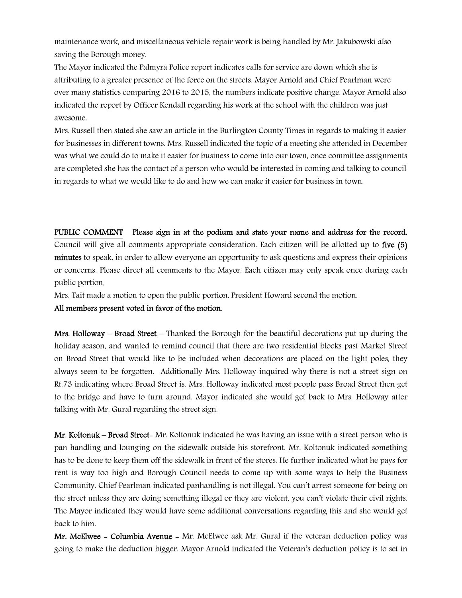maintenance work, and miscellaneous vehicle repair work is being handled by Mr. Jakubowski also saving the Borough money.

The Mayor indicated the Palmyra Police report indicates calls for service are down which she is attributing to a greater presence of the force on the streets. Mayor Arnold and Chief Pearlman were over many statistics comparing 2016 to 2015, the numbers indicate positive change. Mayor Arnold also indicated the report by Officer Kendall regarding his work at the school with the children was just awesome.

Mrs. Russell then stated she saw an article in the Burlington County Times in regards to making it easier for businesses in different towns. Mrs. Russell indicated the topic of a meeting she attended in December was what we could do to make it easier for business to come into our town, once committee assignments are completed she has the contact of a person who would be interested in coming and talking to council in regards to what we would like to do and how we can make it easier for business in town.

PUBLIC COMMENT Please sign in at the podium and state your name and address for the record. Council will give all comments appropriate consideration. Each citizen will be allotted up to five (5) minutes to speak, in order to allow everyone an opportunity to ask questions and express their opinions or concerns. Please direct all comments to the Mayor. Each citizen may only speak once during each public portion.

Mrs. Tait made a motion to open the public portion, President Howard second the motion.

All members present voted in favor of the motion.

**Mrs. Holloway – Broad Street** – Thanked the Borough for the beautiful decorations put up during the holiday season, and wanted to remind council that there are two residential blocks past Market Street on Broad Street that would like to be included when decorations are placed on the light poles, they always seem to be forgotten. Additionally Mrs. Holloway inquired why there is not a street sign on Rt.73 indicating where Broad Street is. Mrs. Holloway indicated most people pass Broad Street then get to the bridge and have to turn around. Mayor indicated she would get back to Mrs. Holloway after talking with Mr. Gural regarding the street sign.

Mr. Koltonuk – Broad Street- Mr. Koltonuk indicated he was having an issue with a street person who is pan handling and lounging on the sidewalk outside his storefront. Mr. Koltonuk indicated something has to be done to keep them off the sidewalk in front of the stores. He further indicated what he pays for rent is way too high and Borough Council needs to come up with some ways to help the Business Community. Chief Pearlman indicated panhandling is not illegal. You can't arrest someone for being on the street unless they are doing something illegal or they are violent, you can't violate their civil rights. The Mayor indicated they would have some additional conversations regarding this and she would get back to him.

Mr. McElwee - Columbia Avenue - Mr. McElwee ask Mr. Gural if the veteran deduction policy was going to make the deduction bigger. Mayor Arnold indicated the Veteran's deduction policy is to set in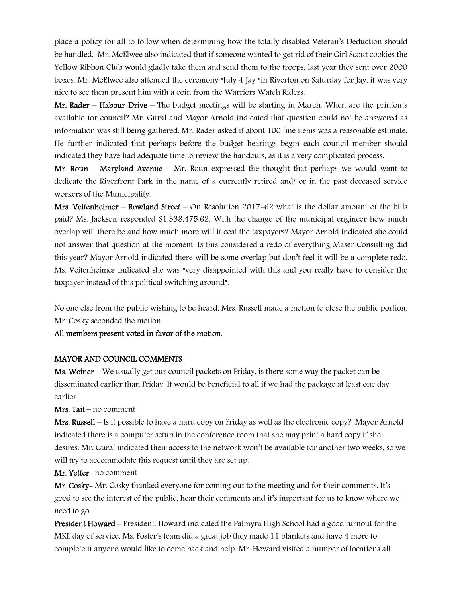place a policy for all to follow when determining how the totally disabled Veteran's Deduction should be handled. Mr. McElwee also indicated that if someone wanted to get rid of their Girl Scout cookies the Yellow Ribbon Club would gladly take them and send them to the troops, last year they sent over 2000 boxes. Mr. McElwee also attended the ceremony "July 4 Jay "in Riverton on Saturday for Jay, it was very nice to see them present him with a coin from the Warriors Watch Riders.

Mr. Rader – Habour Drive – The budget meetings will be starting in March. When are the printouts available for council? Mr. Gural and Mayor Arnold indicated that question could not be answered as information was still being gathered. Mr. Rader asked if about 100 line items was a reasonable estimate. He further indicated that perhaps before the budget hearings begin each council member should indicated they have had adequate time to review the handouts, as it is a very complicated process.

Mr. Roun – Maryland Avenue – Mr. Roun expressed the thought that perhaps we would want to dedicate the Riverfront Park in the name of a currently retired and/ or in the past deceased service workers of the Municipality.

Mrs. Veitenheimer – Rowland Street – On Resolution 2017-62 what is the dollar amount of the bills paid? Ms. Jackson responded \$1,338,475.62. With the change of the municipal engineer how much overlap will there be and how much more will it cost the taxpayers? Mayor Arnold indicated she could not answer that question at the moment. Is this considered a redo of everything Maser Consulting did this year? Mayor Arnold indicated there will be some overlap but don't feel it will be a complete redo. Ms. Veitenheimer indicated she was "very disappointed with this and you really have to consider the taxpayer instead of this political switching around".

No one else from the public wishing to be heard, Mrs. Russell made a motion to close the public portion. Mr. Cosky seconded the motion.

All members present voted in favor of the motion.

#### MAYOR AND COUNCIL COMMENTS

Ms. Weiner – We usually get our council packets on Friday, is there some way the packet can be disseminated earlier than Friday. It would be beneficial to all if we had the package at least one day earlier.

Mrs. Tait – no comment

Mrs. Russell – Is it possible to have a hard copy on Friday as well as the electronic copy? Mayor Arnold indicated there is a computer setup in the conference room that she may print a hard copy if she desires. Mr. Gural indicated their access to the network won't be available for another two weeks, so we will try to accommodate this request until they are set up.

Mr. Yetter- no comment

Mr. Cosky- Mr. Cosky thanked everyone for coming out to the meeting and for their comments. It's good to see the interest of the public, hear their comments and it's important for us to know where we need to go.

President Howard – President. Howard indicated the Palmyra High School had a good turnout for the MKL day of service, Ms. Foster's team did a great job they made 11 blankets and have 4 more to complete if anyone would like to come back and help. Mr. Howard visited a number of locations all